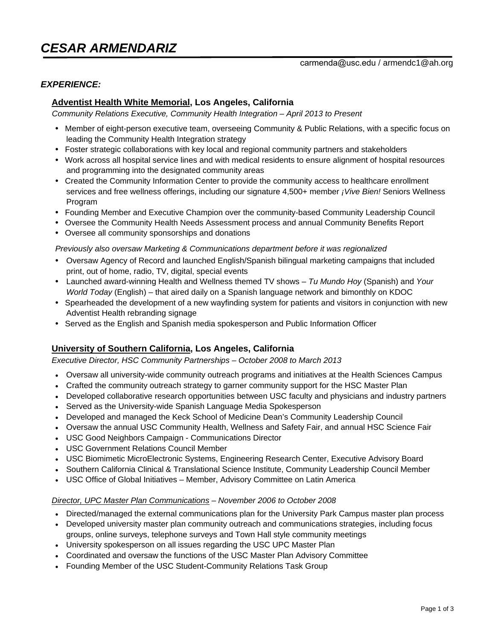## *EXPERIENCE:*

## **Adventist Health White Memorial, Los Angeles, California**

*Community Relations Executive, Community Health Integration – April 2013 to Present*

- Member of eight-person executive team, overseeing Community & Public Relations, with a specific focus on leading the Community Health Integration strategy
- Foster strategic collaborations with key local and regional community partners and stakeholders
- Work across all hospital service lines and with medical residents to ensure alignment of hospital resources and programming into the designated community areas
- Created the Community Information Center to provide the community access to healthcare enrollment services and free wellness offerings, including our signature 4,500+ member *¡Vive Bien!* Seniors Wellness Program
- Founding Member and Executive Champion over the community-based Community Leadership Council
- Oversee the Community Health Needs Assessment process and annual Community Benefits Report
- Oversee all community sponsorships and donations

#### *Previously also oversaw Marketing & Communications department before it was regionalized*

- Oversaw Agency of Record and launched English/Spanish bilingual marketing campaigns that included print, out of home, radio, TV, digital, special events
- Launched award-winning Health and Wellness themed TV shows *Tu Mundo Hoy* (Spanish) and *Your World Today* (English) – that aired daily on a Spanish language network and bimonthly on KDOC
- Spearheaded the development of a new wayfinding system for patients and visitors in conjunction with new Adventist Health rebranding signage
- Served as the English and Spanish media spokesperson and Public Information Officer

# **University of Southern California, Los Angeles, California**

*Executive Director, HSC Community Partnerships – October 2008 to March 2013*

- Oversaw all university-wide community outreach programs and initiatives at the Health Sciences Campus
- Crafted the community outreach strategy to garner community support for the HSC Master Plan
- Developed collaborative research opportunities between USC faculty and physicians and industry partners
- Served as the University-wide Spanish Language Media Spokesperson
- Developed and managed the Keck School of Medicine Dean's Community Leadership Council
- Oversaw the annual USC Community Health, Wellness and Safety Fair, and annual HSC Science Fair
- USC Good Neighbors Campaign Communications Director
- USC Government Relations Council Member
- USC Biomimetic MicroElectronic Systems, Engineering Research Center, Executive Advisory Board
- Southern California Clinical & Translational Science Institute, Community Leadership Council Member
- USC Office of Global Initiatives Member, Advisory Committee on Latin America

#### *Director, UPC Master Plan Communications – November 2006 to October 2008*

- Directed/managed the external communications plan for the University Park Campus master plan process
- Developed university master plan community outreach and communications strategies, including focus groups, online surveys, telephone surveys and Town Hall style community meetings
- University spokesperson on all issues regarding the USC UPC Master Plan
- Coordinated and oversaw the functions of the USC Master Plan Advisory Committee
- Founding Member of the USC Student-Community Relations Task Group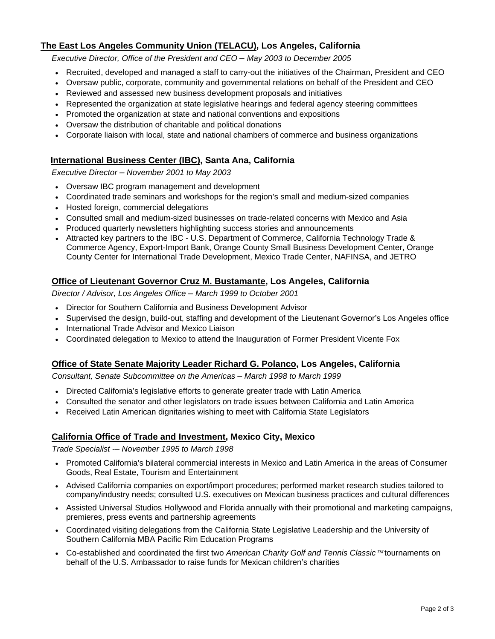# **The East Los Angeles Community Union (TELACU), Los Angeles, California**

*Executive Director, Office of the President and CEO – May 2003 to December 2005*

- Recruited, developed and managed a staff to carry-out the initiatives of the Chairman, President and CEO
- Oversaw public, corporate, community and governmental relations on behalf of the President and CEO
- Reviewed and assessed new business development proposals and initiatives
- Represented the organization at state legislative hearings and federal agency steering committees
- Promoted the organization at state and national conventions and expositions
- Oversaw the distribution of charitable and political donations
- Corporate liaison with local, state and national chambers of commerce and business organizations

# **International Business Center (IBC), Santa Ana, California**

*Executive Director – November 2001 to May 2003*

- Oversaw IBC program management and development
- Coordinated trade seminars and workshops for the region's small and medium-sized companies
- Hosted foreign, commercial delegations
- Consulted small and medium-sized businesses on trade-related concerns with Mexico and Asia
- Produced quarterly newsletters highlighting success stories and announcements
- Attracted key partners to the IBC U.S. Department of Commerce, California Technology Trade & Commerce Agency, Export-Import Bank, Orange County Small Business Development Center, Orange County Center for International Trade Development, Mexico Trade Center, NAFINSA, and JETRO

# **Office of Lieutenant Governor Cruz M. Bustamante, Los Angeles, California**

*Director / Advisor, Los Angeles Office – March 1999 to October 2001*

- Director for Southern California and Business Development Advisor
- Supervised the design, build-out, staffing and development of the Lieutenant Governor's Los Angeles office
- International Trade Advisor and Mexico Liaison
- Coordinated delegation to Mexico to attend the Inauguration of Former President Vicente Fox

# **Office of State Senate Majority Leader Richard G. Polanco, Los Angeles, California**

 *Consultant, Senate Subcommittee on the Americas – March 1998 to March 1999*

- Directed California's legislative efforts to generate greater trade with Latin America
- Consulted the senator and other legislators on trade issues between California and Latin America
- Received Latin American dignitaries wishing to meet with California State Legislators

# **California Office of Trade and Investment, Mexico City, Mexico**

 *Trade Specialist -– November 1995 to March 1998*

- Promoted California's bilateral commercial interests in Mexico and Latin America in the areas of Consumer Goods, Real Estate, Tourism and Entertainment
- Advised California companies on export/import procedures; performed market research studies tailored to company/industry needs; consulted U.S. executives on Mexican business practices and cultural differences
- Assisted Universal Studios Hollywood and Florida annually with their promotional and marketing campaigns, premieres, press events and partnership agreements
- Coordinated visiting delegations from the California State Legislative Leadership and the University of Southern California MBA Pacific Rim Education Programs
- Co-established and coordinated the first two *American Charity Golf and Tennis Classic™* tournaments on behalf of the U.S. Ambassador to raise funds for Mexican children's charities